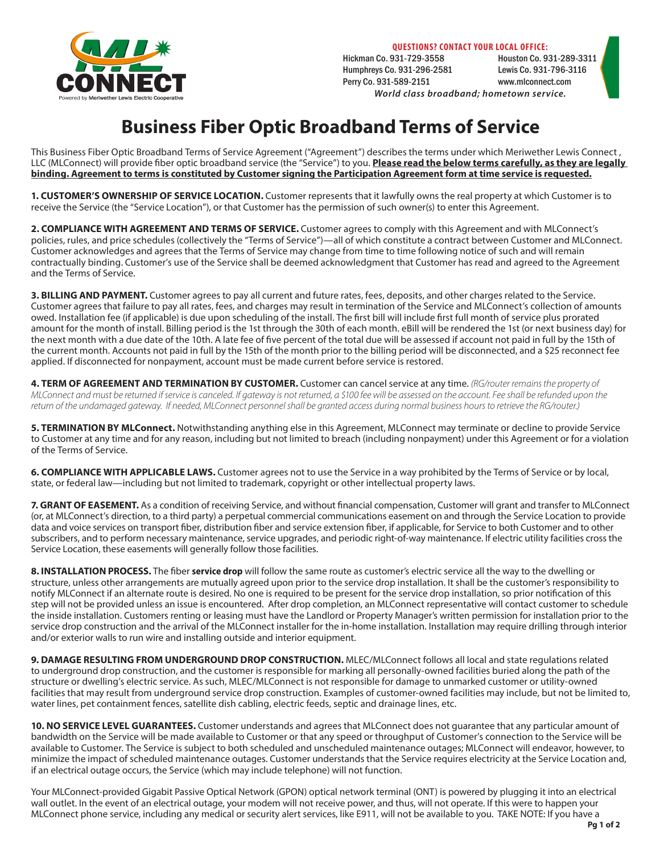

**QUESTIONS? CONTACT YOUR LOCAL OFFICE:**

Hickman Co. 931-729-3558 Houston Co. 931-289-3311 Humphreys Co. 931-296-2581 Perry Co. 931-589-2151 www.mlconnect.com *World class broadband; hometown service.*

# **Business Fiber Optic Broadband Terms of Service**

This Business Fiber Optic Broadband Terms of Service Agreement ("Agreement") describes the terms under which Meriwether Lewis Connect , LLC (MLConnect) will provide fiber optic broadband service (the "Service") to you. **Please read the below terms carefully, as they are legally binding. Agreement to terms is constituted by Customer signing the Participation Agreement form at time service is requested.**

**1. CUSTOMER'S OWNERSHIP OF SERVICE LOCATION.** Customer represents that it lawfully owns the real property at which Customer is to receive the Service (the "Service Location"), or that Customer has the permission of such owner(s) to enter this Agreement.

**2. COMPLIANCE WITH AGREEMENT AND TERMS OF SERVICE.** Customer agrees to comply with this Agreement and with MLConnect's policies, rules, and price schedules (collectively the "Terms of Service")—all of which constitute a contract between Customer and MLConnect. Customer acknowledges and agrees that the Terms of Service may change from time to time following notice of such and will remain contractually binding. Customer's use of the Service shall be deemed acknowledgment that Customer has read and agreed to the Agreement and the Terms of Service.

**3. BILLING AND PAYMENT.** Customer agrees to pay all current and future rates, fees, deposits, and other charges related to the Service. Customer agrees that failure to pay all rates, fees, and charges may result in termination of the Service and MLConnect's collection of amounts owed. Installation fee (if applicable) is due upon scheduling of the install. The first bill will include first full month of service plus prorated amount for the month of install. Billing period is the 1st through the 30th of each month. eBill will be rendered the 1st (or next business day) for the next month with a due date of the 10th. A late fee of five percent of the total due will be assessed if account not paid in full by the 15th of the current month. Accounts not paid in full by the 15th of the month prior to the billing period will be disconnected, and a \$25 reconnect fee applied. If disconnected for nonpayment, account must be made current before service is restored.

**4. TERM OF AGREEMENT AND TERMINATION BY CUSTOMER.** Customer can cancel service at any time. *(RG/router remains the property of MLConnect and must be returned if service is canceled. If gateway is not returned, a \$100 fee will be assessed on the account. Fee shall be refunded upon the return of the undamaged gateway. If needed, MLConnect personnel shall be granted access during normal business hours to retrieve the RG/router.)*

**5. TERMINATION BY MLConnect.** Notwithstanding anything else in this Agreement, MLConnect may terminate or decline to provide Service to Customer at any time and for any reason, including but not limited to breach (including nonpayment) under this Agreement or for a violation of the Terms of Service.

**6. COMPLIANCE WITH APPLICABLE LAWS.** Customer agrees not to use the Service in a way prohibited by the Terms of Service or by local, state, or federal law—including but not limited to trademark, copyright or other intellectual property laws.

**7. GRANT OF EASEMENT.** As a condition of receiving Service, and without financial compensation, Customer will grant and transfer to MLConnect (or, at MLConnect's direction, to a third party) a perpetual commercial communications easement on and through the Service Location to provide data and voice services on transport fiber, distribution fiber and service extension fiber, if applicable, for Service to both Customer and to other subscribers, and to perform necessary maintenance, service upgrades, and periodic right-of-way maintenance. If electric utility facilities cross the Service Location, these easements will generally follow those facilities.

**8. INSTALLATION PROCESS.** The fiber **service drop** will follow the same route as customer's electric service all the way to the dwelling or structure, unless other arrangements are mutually agreed upon prior to the service drop installation. It shall be the customer's responsibility to notify MLConnect if an alternate route is desired. No one is required to be present for the service drop installation, so prior notification of this step will not be provided unless an issue is encountered. After drop completion, an MLConnect representative will contact customer to schedule the inside installation. Customers renting or leasing must have the Landlord or Property Manager's written permission for installation prior to the service drop construction and the arrival of the MLConnect installer for the in-home installation. Installation may require drilling through interior and/or exterior walls to run wire and installing outside and interior equipment.

**9. DAMAGE RESULTING FROM UNDERGROUND DROP CONSTRUCTION.** MLEC/MLConnect follows all local and state regulations related to underground drop construction, and the customer is responsible for marking all personally-owned facilities buried along the path of the structure or dwelling's electric service. As such, MLEC/MLConnect is not responsible for damage to unmarked customer or utility-owned facilities that may result from underground service drop construction. Examples of customer-owned facilities may include, but not be limited to, water lines, pet containment fences, satellite dish cabling, electric feeds, septic and drainage lines, etc.

**10. NO SERVICE LEVEL GUARANTEES.** Customer understands and agrees that MLConnect does not guarantee that any particular amount of bandwidth on the Service will be made available to Customer or that any speed or throughput of Customer's connection to the Service will be available to Customer. The Service is subject to both scheduled and unscheduled maintenance outages; MLConnect will endeavor, however, to minimize the impact of scheduled maintenance outages. Customer understands that the Service requires electricity at the Service Location and, if an electrical outage occurs, the Service (which may include telephone) will not function.

Your MLConnect-provided Gigabit Passive Optical Network (GPON) optical network terminal (ONT) is powered by plugging it into an electrical wall outlet. In the event of an electrical outage, your modem will not receive power, and thus, will not operate. If this were to happen your MLConnect phone service, including any medical or security alert services, like E911, will not be available to you. TAKE NOTE: If you have a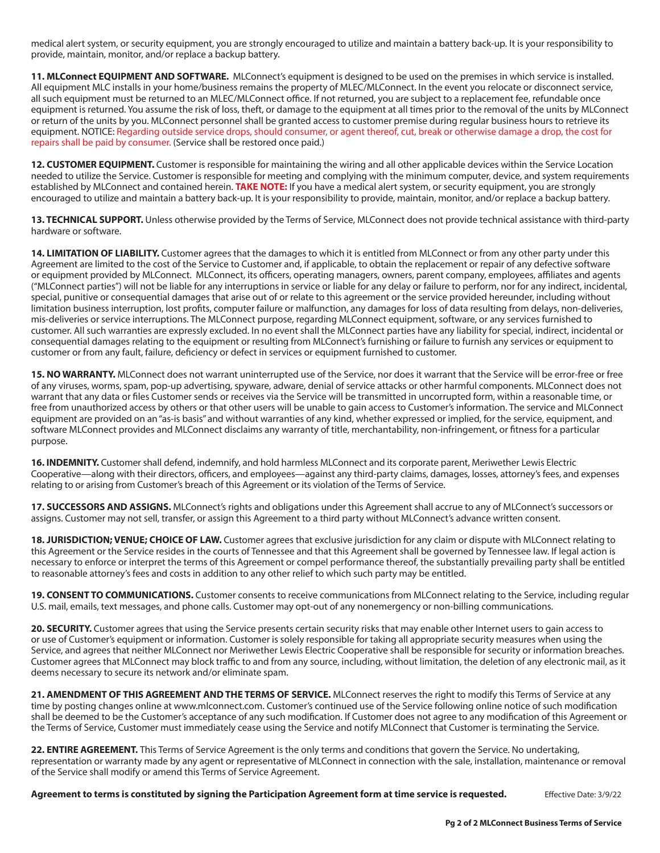medical alert system, or security equipment, you are strongly encouraged to utilize and maintain a battery back-up. It is your responsibility to provide, maintain, monitor, and/or replace a backup battery.

**11. MLConnect EQUIPMENT AND SOFTWARE.** MLConnect's equipment is designed to be used on the premises in which service is installed. All equipment MLC installs in your home/business remains the property of MLEC/MLConnect. In the event you relocate or disconnect service, all such equipment must be returned to an MLEC/MLConnect office. If not returned, you are subject to a replacement fee, refundable once equipment is returned. You assume the risk of loss, theft, or damage to the equipment at all times prior to the removal of the units by MLConnect or return of the units by you. MLConnect personnel shall be granted access to customer premise during regular business hours to retrieve its equipment. NOTICE: Regarding outside service drops, should consumer, or agent thereof, cut, break or otherwise damage a drop, the cost for repairs shall be paid by consumer. (Service shall be restored once paid.)

**12. CUSTOMER EQUIPMENT.** Customer is responsible for maintaining the wiring and all other applicable devices within the Service Location needed to utilize the Service. Customer is responsible for meeting and complying with the minimum computer, device, and system requirements established by MLConnect and contained herein. **TAKE NOTE:** If you have a medical alert system, or security equipment, you are strongly encouraged to utilize and maintain a battery back-up. It is your responsibility to provide, maintain, monitor, and/or replace a backup battery.

**13. TECHNICAL SUPPORT.** Unless otherwise provided by the Terms of Service, MLConnect does not provide technical assistance with third-party hardware or software.

**14. LIMITATION OF LIABILITY.** Customer agrees that the damages to which it is entitled from MLConnect or from any other party under this Agreement are limited to the cost of the Service to Customer and, if applicable, to obtain the replacement or repair of any defective software or equipment provided by MLConnect. MLConnect, its officers, operating managers, owners, parent company, employees, affiliates and agents ("MLConnect parties") will not be liable for any interruptions in service or liable for any delay or failure to perform, nor for any indirect, incidental, special, punitive or consequential damages that arise out of or relate to this agreement or the service provided hereunder, including without limitation business interruption, lost profits, computer failure or malfunction, any damages for loss of data resulting from delays, non-deliveries, mis-deliveries or service interruptions. The MLConnect purpose, regarding MLConnect equipment, software, or any services furnished to customer. All such warranties are expressly excluded. In no event shall the MLConnect parties have any liability for special, indirect, incidental or consequential damages relating to the equipment or resulting from MLConnect's furnishing or failure to furnish any services or equipment to customer or from any fault, failure, deficiency or defect in services or equipment furnished to customer.

**15. NO WARRANTY.** MLConnect does not warrant uninterrupted use of the Service, nor does it warrant that the Service will be error-free or free of any viruses, worms, spam, pop-up advertising, spyware, adware, denial of service attacks or other harmful components. MLConnect does not warrant that any data or files Customer sends or receives via the Service will be transmitted in uncorrupted form, within a reasonable time, or free from unauthorized access by others or that other users will be unable to gain access to Customer's information. The service and MLConnect equipment are provided on an "as-is basis" and without warranties of any kind, whether expressed or implied, for the service, equipment, and software MLConnect provides and MLConnect disclaims any warranty of title, merchantability, non-infringement, or fitness for a particular purpose.

**16. INDEMNITY.** Customer shall defend, indemnify, and hold harmless MLConnect and its corporate parent, Meriwether Lewis Electric Cooperative—along with their directors, officers, and employees—against any third-party claims, damages, losses, attorney's fees, and expenses relating to or arising from Customer's breach of this Agreement or its violation of the Terms of Service.

**17. SUCCESSORS AND ASSIGNS.** MLConnect's rights and obligations under this Agreement shall accrue to any of MLConnect's successors or assigns. Customer may not sell, transfer, or assign this Agreement to a third party without MLConnect's advance written consent.

**18. JURISDICTION; VENUE; CHOICE OF LAW.** Customer agrees that exclusive jurisdiction for any claim or dispute with MLConnect relating to this Agreement or the Service resides in the courts of Tennessee and that this Agreement shall be governed by Tennessee law. If legal action is necessary to enforce or interpret the terms of this Agreement or compel performance thereof, the substantially prevailing party shall be entitled to reasonable attorney's fees and costs in addition to any other relief to which such party may be entitled.

**19. CONSENT TO COMMUNICATIONS.** Customer consents to receive communications from MLConnect relating to the Service, including regular U.S. mail, emails, text messages, and phone calls. Customer may opt-out of any nonemergency or non-billing communications.

**20. SECURITY.** Customer agrees that using the Service presents certain security risks that may enable other Internet users to gain access to or use of Customer's equipment or information. Customer is solely responsible for taking all appropriate security measures when using the Service, and agrees that neither MLConnect nor Meriwether Lewis Electric Cooperative shall be responsible for security or information breaches. Customer agrees that MLConnect may block traffic to and from any source, including, without limitation, the deletion of any electronic mail, as it deems necessary to secure its network and/or eliminate spam.

**21. AMENDMENT OF THIS AGREEMENT AND THE TERMS OF SERVICE.** MLConnect reserves the right to modify this Terms of Service at any time by posting changes online at www.mlconnect.com. Customer's continued use of the Service following online notice of such modification shall be deemed to be the Customer's acceptance of any such modification. If Customer does not agree to any modification of this Agreement or the Terms of Service, Customer must immediately cease using the Service and notify MLConnect that Customer is terminating the Service.

**22. ENTIRE AGREEMENT.** This Terms of Service Agreement is the only terms and conditions that govern the Service. No undertaking, representation or warranty made by any agent or representative of MLConnect in connection with the sale, installation, maintenance or removal of the Service shall modify or amend this Terms of Service Agreement.

**Agreement to terms is constituted by signing the Participation Agreement form at time service is requested.** Effective Date: 3/9/22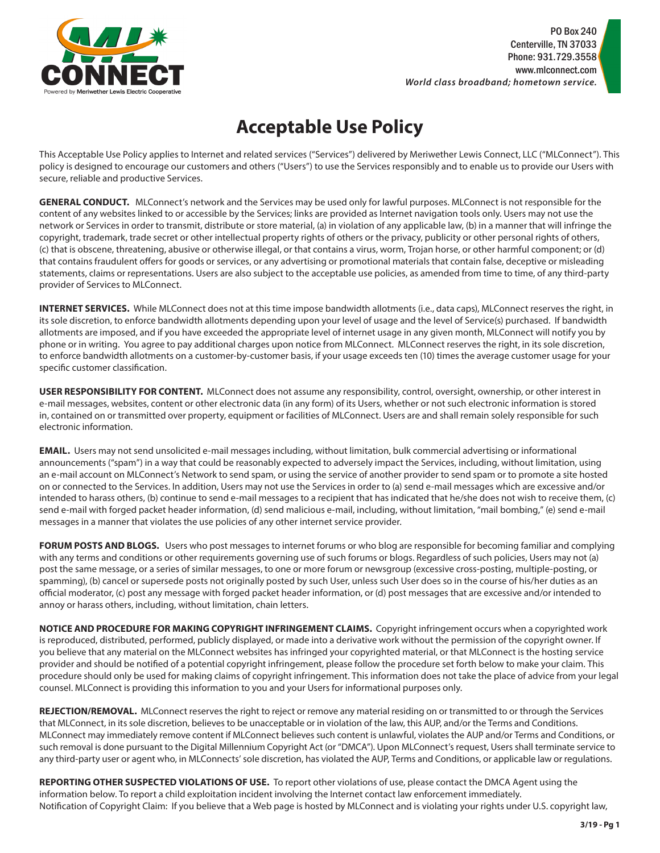

# **Acceptable Use Policy**

This Acceptable Use Policy applies to Internet and related services ("Services") delivered by Meriwether Lewis Connect, LLC ("MLConnect"). This policy is designed to encourage our customers and others ("Users") to use the Services responsibly and to enable us to provide our Users with secure, reliable and productive Services.

**GENERAL CONDUCT.** MLConnect's network and the Services may be used only for lawful purposes. MLConnect is not responsible for the content of any websites linked to or accessible by the Services; links are provided as Internet navigation tools only. Users may not use the network or Services in order to transmit, distribute or store material, (a) in violation of any applicable law, (b) in a manner that will infringe the copyright, trademark, trade secret or other intellectual property rights of others or the privacy, publicity or other personal rights of others, (c) that is obscene, threatening, abusive or otherwise illegal, or that contains a virus, worm, Trojan horse, or other harmful component; or (d) that contains fraudulent offers for goods or services, or any advertising or promotional materials that contain false, deceptive or misleading statements, claims or representations. Users are also subject to the acceptable use policies, as amended from time to time, of any third-party provider of Services to MLConnect.

**INTERNET SERVICES.** While MLConnect does not at this time impose bandwidth allotments (i.e., data caps), MLConnect reserves the right, in its sole discretion, to enforce bandwidth allotments depending upon your level of usage and the level of Service(s) purchased. If bandwidth allotments are imposed, and if you have exceeded the appropriate level of internet usage in any given month, MLConnect will notify you by phone or in writing. You agree to pay additional charges upon notice from MLConnect. MLConnect reserves the right, in its sole discretion, to enforce bandwidth allotments on a customer-by-customer basis, if your usage exceeds ten (10) times the average customer usage for your specific customer classification.

**USER RESPONSIBILITY FOR CONTENT.** MLConnect does not assume any responsibility, control, oversight, ownership, or other interest in e-mail messages, websites, content or other electronic data (in any form) of its Users, whether or not such electronic information is stored in, contained on or transmitted over property, equipment or facilities of MLConnect. Users are and shall remain solely responsible for such electronic information.

**EMAIL.** Users may not send unsolicited e-mail messages including, without limitation, bulk commercial advertising or informational announcements ("spam") in a way that could be reasonably expected to adversely impact the Services, including, without limitation, using an e-mail account on MLConnect's Network to send spam, or using the service of another provider to send spam or to promote a site hosted on or connected to the Services. In addition, Users may not use the Services in order to (a) send e-mail messages which are excessive and/or intended to harass others, (b) continue to send e-mail messages to a recipient that has indicated that he/she does not wish to receive them, (c) send e-mail with forged packet header information, (d) send malicious e-mail, including, without limitation, "mail bombing," (e) send e-mail messages in a manner that violates the use policies of any other internet service provider.

**FORUM POSTS AND BLOGS.** Users who post messages to internet forums or who blog are responsible for becoming familiar and complying with any terms and conditions or other requirements governing use of such forums or blogs. Regardless of such policies, Users may not (a) post the same message, or a series of similar messages, to one or more forum or newsgroup (excessive cross-posting, multiple-posting, or spamming), (b) cancel or supersede posts not originally posted by such User, unless such User does so in the course of his/her duties as an official moderator, (c) post any message with forged packet header information, or (d) post messages that are excessive and/or intended to annoy or harass others, including, without limitation, chain letters.

**NOTICE AND PROCEDURE FOR MAKING COPYRIGHT INFRINGEMENT CLAIMS.** Copyright infringement occurs when a copyrighted work is reproduced, distributed, performed, publicly displayed, or made into a derivative work without the permission of the copyright owner. If you believe that any material on the MLConnect websites has infringed your copyrighted material, or that MLConnect is the hosting service provider and should be notified of a potential copyright infringement, please follow the procedure set forth below to make your claim. This procedure should only be used for making claims of copyright infringement. This information does not take the place of advice from your legal counsel. MLConnect is providing this information to you and your Users for informational purposes only.

**REJECTION/REMOVAL.** MLConnect reserves the right to reject or remove any material residing on or transmitted to or through the Services that MLConnect, in its sole discretion, believes to be unacceptable or in violation of the law, this AUP, and/or the Terms and Conditions. MLConnect may immediately remove content if MLConnect believes such content is unlawful, violates the AUP and/or Terms and Conditions, or such removal is done pursuant to the Digital Millennium Copyright Act (or "DMCA"). Upon MLConnect's request, Users shall terminate service to any third-party user or agent who, in MLConnects' sole discretion, has violated the AUP, Terms and Conditions, or applicable law or regulations.

**REPORTING OTHER SUSPECTED VIOLATIONS OF USE.** To report other violations of use, please contact the DMCA Agent using the information below. To report a child exploitation incident involving the Internet contact law enforcement immediately. Notification of Copyright Claim: If you believe that a Web page is hosted by MLConnect and is violating your rights under U.S. copyright law,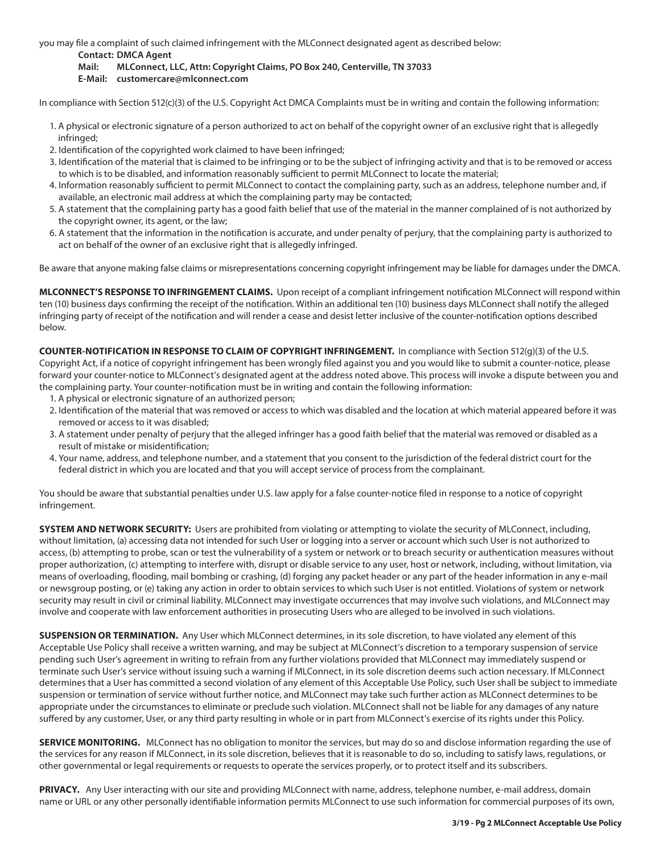you may file a complaint of such claimed infringement with the MLConnect designated agent as described below:

**Contact: DMCA Agent**

**Mail: MLConnect, LLC, Attn: Copyright Claims, PO Box 240, Centerville, TN 37033** 

**E-Mail: customercare@mlconnect.com**

In compliance with Section 512(c)(3) of the U.S. Copyright Act DMCA Complaints must be in writing and contain the following information:

- 1. A physical or electronic signature of a person authorized to act on behalf of the copyright owner of an exclusive right that is allegedly infringed;
- 2. Identification of the copyrighted work claimed to have been infringed;
- 3. Identification of the material that is claimed to be infringing or to be the subject of infringing activity and that is to be removed or access to which is to be disabled, and information reasonably sufficient to permit MLConnect to locate the material;
- 4. Information reasonably sufficient to permit MLConnect to contact the complaining party, such as an address, telephone number and, if available, an electronic mail address at which the complaining party may be contacted;
- 5. A statement that the complaining party has a good faith belief that use of the material in the manner complained of is not authorized by the copyright owner, its agent, or the law;
- 6. A statement that the information in the notification is accurate, and under penalty of perjury, that the complaining party is authorized to act on behalf of the owner of an exclusive right that is allegedly infringed.

Be aware that anyone making false claims or misrepresentations concerning copyright infringement may be liable for damages under the DMCA.

**MLCONNECT'S RESPONSE TO INFRINGEMENT CLAIMS.** Upon receipt of a compliant infringement notification MLConnect will respond within ten (10) business days confirming the receipt of the notification. Within an additional ten (10) business days MLConnect shall notify the alleged infringing party of receipt of the notification and will render a cease and desist letter inclusive of the counter-notification options described below.

**COUNTER-NOTIFICATION IN RESPONSE TO CLAIM OF COPYRIGHT INFRINGEMENT.** In compliance with Section 512(g)(3) of the U.S. Copyright Act, if a notice of copyright infringement has been wrongly filed against you and you would like to submit a counter-notice, please forward your counter-notice to MLConnect's designated agent at the address noted above. This process will invoke a dispute between you and the complaining party. Your counter-notification must be in writing and contain the following information:

- 1. A physical or electronic signature of an authorized person;
- 2. Identification of the material that was removed or access to which was disabled and the location at which material appeared before it was removed or access to it was disabled;
- 3. A statement under penalty of perjury that the alleged infringer has a good faith belief that the material was removed or disabled as a result of mistake or misidentification;
- 4. Your name, address, and telephone number, and a statement that you consent to the jurisdiction of the federal district court for the federal district in which you are located and that you will accept service of process from the complainant.

You should be aware that substantial penalties under U.S. law apply for a false counter-notice filed in response to a notice of copyright infringement.

**SYSTEM AND NETWORK SECURITY:** Users are prohibited from violating or attempting to violate the security of MLConnect, including, without limitation, (a) accessing data not intended for such User or logging into a server or account which such User is not authorized to access, (b) attempting to probe, scan or test the vulnerability of a system or network or to breach security or authentication measures without proper authorization, (c) attempting to interfere with, disrupt or disable service to any user, host or network, including, without limitation, via means of overloading, flooding, mail bombing or crashing, (d) forging any packet header or any part of the header information in any e-mail or newsgroup posting, or (e) taking any action in order to obtain services to which such User is not entitled. Violations of system or network security may result in civil or criminal liability. MLConnect may investigate occurrences that may involve such violations, and MLConnect may involve and cooperate with law enforcement authorities in prosecuting Users who are alleged to be involved in such violations.

**SUSPENSION OR TERMINATION.** Any User which MLConnect determines, in its sole discretion, to have violated any element of this Acceptable Use Policy shall receive a written warning, and may be subject at MLConnect's discretion to a temporary suspension of service pending such User's agreement in writing to refrain from any further violations provided that MLConnect may immediately suspend or terminate such User's service without issuing such a warning if MLConnect, in its sole discretion deems such action necessary. If MLConnect determines that a User has committed a second violation of any element of this Acceptable Use Policy, such User shall be subject to immediate suspension or termination of service without further notice, and MLConnect may take such further action as MLConnect determines to be appropriate under the circumstances to eliminate or preclude such violation. MLConnect shall not be liable for any damages of any nature suffered by any customer, User, or any third party resulting in whole or in part from MLConnect's exercise of its rights under this Policy.

**SERVICE MONITORING.** MLConnect has no obligation to monitor the services, but may do so and disclose information regarding the use of the services for any reason if MLConnect, in its sole discretion, believes that it is reasonable to do so, including to satisfy laws, regulations, or other governmental or legal requirements or requests to operate the services properly, or to protect itself and its subscribers.

PRIVACY. Any User interacting with our site and providing MLConnect with name, address, telephone number, e-mail address, domain name or URL or any other personally identifiable information permits MLConnect to use such information for commercial purposes of its own,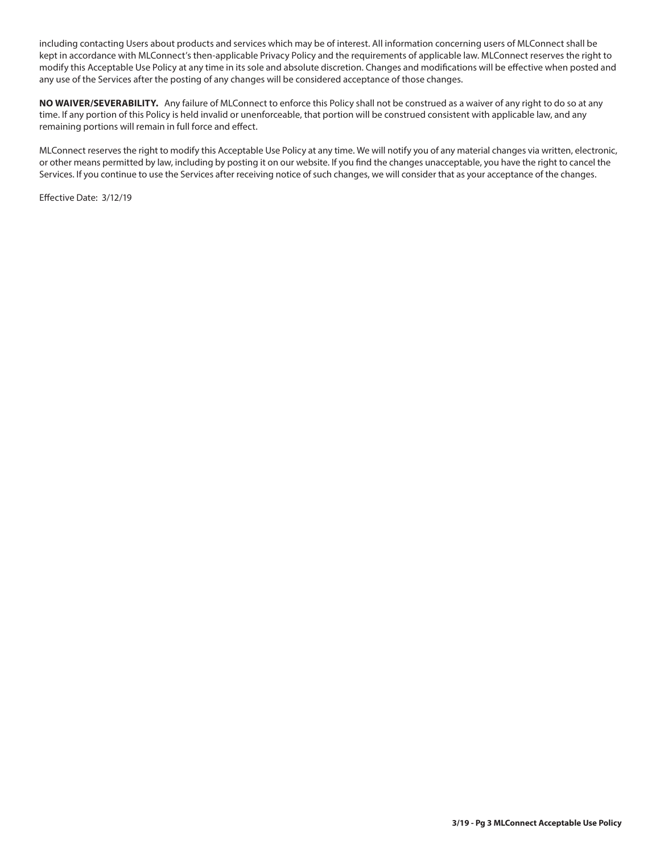including contacting Users about products and services which may be of interest. All information concerning users of MLConnect shall be kept in accordance with MLConnect's then-applicable Privacy Policy and the requirements of applicable law. MLConnect reserves the right to modify this Acceptable Use Policy at any time in its sole and absolute discretion. Changes and modifications will be effective when posted and any use of the Services after the posting of any changes will be considered acceptance of those changes.

**NO WAIVER/SEVERABILITY.** Any failure of MLConnect to enforce this Policy shall not be construed as a waiver of any right to do so at any time. If any portion of this Policy is held invalid or unenforceable, that portion will be construed consistent with applicable law, and any remaining portions will remain in full force and effect.

MLConnect reserves the right to modify this Acceptable Use Policy at any time. We will notify you of any material changes via written, electronic, or other means permitted by law, including by posting it on our website. If you find the changes unacceptable, you have the right to cancel the Services. If you continue to use the Services after receiving notice of such changes, we will consider that as your acceptance of the changes.

Effective Date: 3/12/19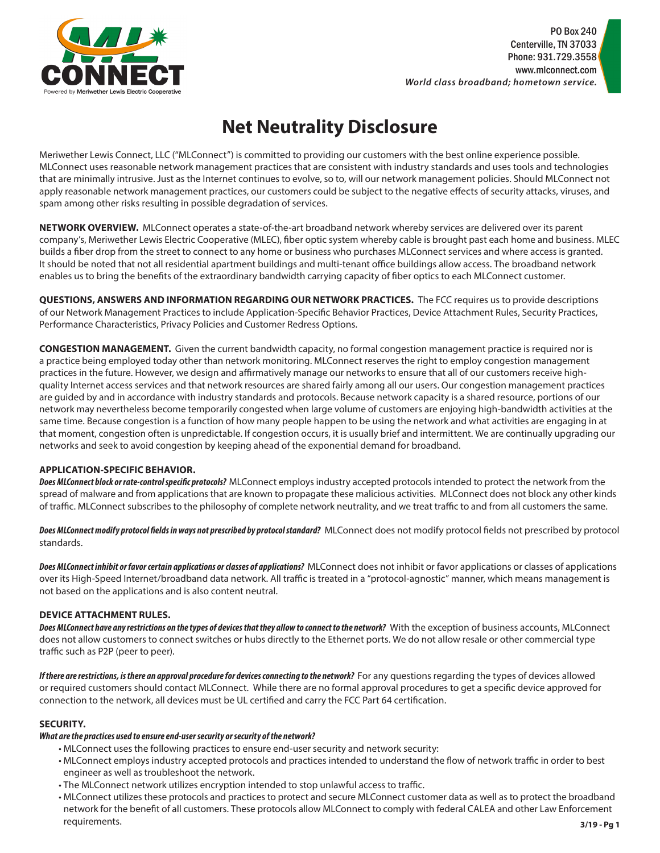

# **Net Neutrality Disclosure**

Meriwether Lewis Connect, LLC ("MLConnect") is committed to providing our customers with the best online experience possible. MLConnect uses reasonable network management practices that are consistent with industry standards and uses tools and technologies that are minimally intrusive. Just as the Internet continues to evolve, so to, will our network management policies. Should MLConnect not apply reasonable network management practices, our customers could be subject to the negative effects of security attacks, viruses, and spam among other risks resulting in possible degradation of services.

**NETWORK OVERVIEW.** MLConnect operates a state-of-the-art broadband network whereby services are delivered over its parent company's, Meriwether Lewis Electric Cooperative (MLEC), fiber optic system whereby cable is brought past each home and business. MLEC builds a fiber drop from the street to connect to any home or business who purchases MLConnect services and where access is granted. It should be noted that not all residential apartment buildings and multi-tenant office buildings allow access. The broadband network enables us to bring the benefits of the extraordinary bandwidth carrying capacity of fiber optics to each MLConnect customer.

**QUESTIONS, ANSWERS AND INFORMATION REGARDING OUR NETWORK PRACTICES.** The FCC requires us to provide descriptions of our Network Management Practices to include Application-Specific Behavior Practices, Device Attachment Rules, Security Practices, Performance Characteristics, Privacy Policies and Customer Redress Options.

**CONGESTION MANAGEMENT.** Given the current bandwidth capacity, no formal congestion management practice is required nor is a practice being employed today other than network monitoring. MLConnect reserves the right to employ congestion management practices in the future. However, we design and affirmatively manage our networks to ensure that all of our customers receive highquality Internet access services and that network resources are shared fairly among all our users. Our congestion management practices are guided by and in accordance with industry standards and protocols. Because network capacity is a shared resource, portions of our network may nevertheless become temporarily congested when large volume of customers are enjoying high-bandwidth activities at the same time. Because congestion is a function of how many people happen to be using the network and what activities are engaging in at that moment, congestion often is unpredictable. If congestion occurs, it is usually brief and intermittent. We are continually upgrading our networks and seek to avoid congestion by keeping ahead of the exponential demand for broadband.

# **APPLICATION-SPECIFIC BEHAVIOR.**

*Does MLConnect block or rate-control specific protocols?* MLConnect employs industry accepted protocols intended to protect the network from the spread of malware and from applications that are known to propagate these malicious activities. MLConnect does not block any other kinds of traffic. MLConnect subscribes to the philosophy of complete network neutrality, and we treat traffic to and from all customers the same.

*Does MLConnect modify protocol fields in ways not prescribed by protocol standard?* MLConnect does not modify protocol fields not prescribed by protocol standards.

*Does MLConnect inhibit or favor certain applications or classes of applications?* MLConnect does not inhibit or favor applications or classes of applications over its High-Speed Internet/broadband data network. All traffic is treated in a "protocol-agnostic" manner, which means management is not based on the applications and is also content neutral.

# **DEVICE ATTACHMENT RULES.**

*Does MLConnect have any restrictions on the types of devices that they allow to connect to the network?* With the exception of business accounts, MLConnect does not allow customers to connect switches or hubs directly to the Ethernet ports. We do not allow resale or other commercial type traffic such as P2P (peer to peer).

If there are restrictions, is there an approval procedure for devices connecting to the network? For any questions regarding the types of devices allowed or required customers should contact MLConnect. While there are no formal approval procedures to get a specific device approved for connection to the network, all devices must be UL certified and carry the FCC Part 64 certification.

# **SECURITY.**

# *What are the practices used to ensure end-user security or security of the network?*

- MLConnect uses the following practices to ensure end-user security and network security:
- MLConnect employs industry accepted protocols and practices intended to understand the flow of network traffic in order to best engineer as well as troubleshoot the network.
- The MLConnect network utilizes encryption intended to stop unlawful access to traffic.
- MLConnect utilizes these protocols and practices to protect and secure MLConnect customer data as well as to protect the broadband network for the benefit of all customers. These protocols allow MLConnect to comply with federal CALEA and other Law Enforcement requirements. **3/19 - Pg 1**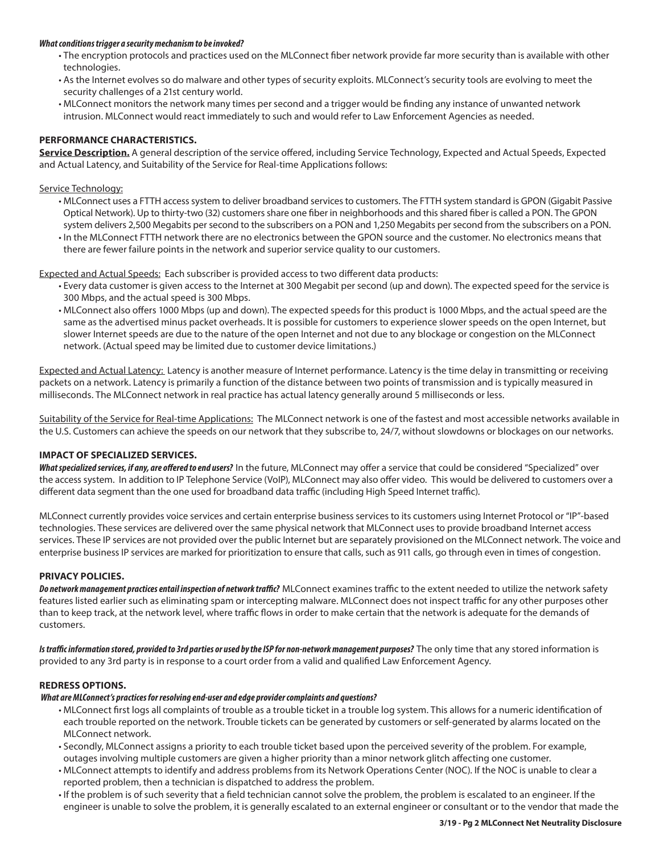#### *What conditions trigger a security mechanism to be invoked?*

- The encryption protocols and practices used on the MLConnect fiber network provide far more security than is available with other technologies.
- As the Internet evolves so do malware and other types of security exploits. MLConnect's security tools are evolving to meet the security challenges of a 21st century world.
- MLConnect monitors the network many times per second and a trigger would be finding any instance of unwanted network intrusion. MLConnect would react immediately to such and would refer to Law Enforcement Agencies as needed.

### **PERFORMANCE CHARACTERISTICS.**

**Service Description.** A general description of the service offered, including Service Technology, Expected and Actual Speeds, Expected and Actual Latency, and Suitability of the Service for Real-time Applications follows:

#### Service Technology:

- MLConnect uses a FTTH access system to deliver broadband services to customers. The FTTH system standard is GPON (Gigabit Passive Optical Network). Up to thirty-two (32) customers share one fiber in neighborhoods and this shared fiber is called a PON. The GPON system delivers 2,500 Megabits per second to the subscribers on a PON and 1,250 Megabits per second from the subscribers on a PON.
- In the MLConnect FTTH network there are no electronics between the GPON source and the customer. No electronics means that there are fewer failure points in the network and superior service quality to our customers.

Expected and Actual Speeds: Each subscriber is provided access to two different data products:

- Every data customer is given access to the Internet at 300 Megabit per second (up and down). The expected speed for the service is 300 Mbps, and the actual speed is 300 Mbps.
- MLConnect also offers 1000 Mbps (up and down). The expected speeds for this product is 1000 Mbps, and the actual speed are the same as the advertised minus packet overheads. It is possible for customers to experience slower speeds on the open Internet, but slower Internet speeds are due to the nature of the open Internet and not due to any blockage or congestion on the MLConnect network. (Actual speed may be limited due to customer device limitations.)

Expected and Actual Latency: Latency is another measure of Internet performance. Latency is the time delay in transmitting or receiving packets on a network. Latency is primarily a function of the distance between two points of transmission and is typically measured in milliseconds. The MLConnect network in real practice has actual latency generally around 5 milliseconds or less.

Suitability of the Service for Real-time Applications: The MLConnect network is one of the fastest and most accessible networks available in the U.S. Customers can achieve the speeds on our network that they subscribe to, 24/7, without slowdowns or blockages on our networks.

### **IMPACT OF SPECIALIZED SERVICES.**

What specialized services, if any, are offered to end users? In the future, MLConnect may offer a service that could be considered "Specialized" over the access system. In addition to IP Telephone Service (VoIP), MLConnect may also offer video. This would be delivered to customers over a different data segment than the one used for broadband data traffic (including High Speed Internet traffic).

MLConnect currently provides voice services and certain enterprise business services to its customers using Internet Protocol or "IP"-based technologies. These services are delivered over the same physical network that MLConnect uses to provide broadband Internet access services. These IP services are not provided over the public Internet but are separately provisioned on the MLConnect network. The voice and enterprise business IP services are marked for prioritization to ensure that calls, such as 911 calls, go through even in times of congestion.

### **PRIVACY POLICIES.**

*Do network management practices entail inspection of network traffic?* MLConnect examines traffic to the extent needed to utilize the network safety features listed earlier such as eliminating spam or intercepting malware. MLConnect does not inspect traffic for any other purposes other than to keep track, at the network level, where traffic flows in order to make certain that the network is adequate for the demands of customers.

Is traffic information stored, provided to 3rd parties or used by the ISP for non-network management purposes? The only time that any stored information is provided to any 3rd party is in response to a court order from a valid and qualified Law Enforcement Agency.

### **REDRESS OPTIONS.**

#### *What are MLConnect's practices for resolving end-user and edge provider complaints and questions?*

- MLConnect first logs all complaints of trouble as a trouble ticket in a trouble log system. This allows for a numeric identification of each trouble reported on the network. Trouble tickets can be generated by customers or self-generated by alarms located on the MLConnect network.
- Secondly, MLConnect assigns a priority to each trouble ticket based upon the perceived severity of the problem. For example, outages involving multiple customers are given a higher priority than a minor network glitch affecting one customer.
- MLConnect attempts to identify and address problems from its Network Operations Center (NOC). If the NOC is unable to clear a reported problem, then a technician is dispatched to address the problem.
- If the problem is of such severity that a field technician cannot solve the problem, the problem is escalated to an engineer. If the engineer is unable to solve the problem, it is generally escalated to an external engineer or consultant or to the vendor that made the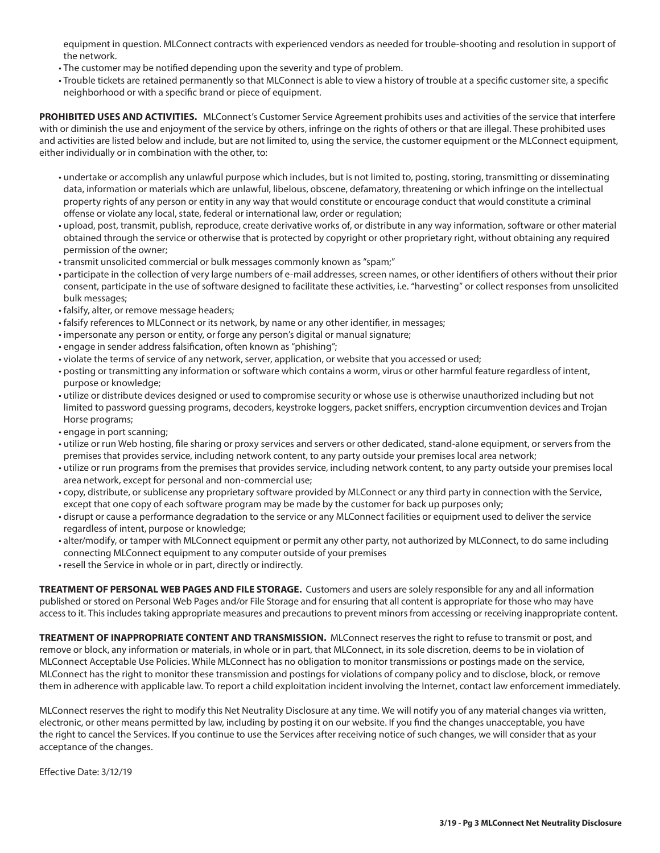equipment in question. MLConnect contracts with experienced vendors as needed for trouble-shooting and resolution in support of the network.

- The customer may be notified depending upon the severity and type of problem.
- Trouble tickets are retained permanently so that MLConnect is able to view a history of trouble at a specific customer site, a specific neighborhood or with a specific brand or piece of equipment.

**PROHIBITED USES AND ACTIVITIES.** MLConnect's Customer Service Agreement prohibits uses and activities of the service that interfere with or diminish the use and enjoyment of the service by others, infringe on the rights of others or that are illegal. These prohibited uses and activities are listed below and include, but are not limited to, using the service, the customer equipment or the MLConnect equipment, either individually or in combination with the other, to:

- undertake or accomplish any unlawful purpose which includes, but is not limited to, posting, storing, transmitting or disseminating data, information or materials which are unlawful, libelous, obscene, defamatory, threatening or which infringe on the intellectual property rights of any person or entity in any way that would constitute or encourage conduct that would constitute a criminal offense or violate any local, state, federal or international law, order or regulation;
- upload, post, transmit, publish, reproduce, create derivative works of, or distribute in any way information, software or other material obtained through the service or otherwise that is protected by copyright or other proprietary right, without obtaining any required permission of the owner;
- transmit unsolicited commercial or bulk messages commonly known as "spam;"
- participate in the collection of very large numbers of e-mail addresses, screen names, or other identifiers of others without their prior consent, participate in the use of software designed to facilitate these activities, i.e. "harvesting" or collect responses from unsolicited bulk messages;
- falsify, alter, or remove message headers;
- falsify references to MLConnect or its network, by name or any other identifier, in messages;
- impersonate any person or entity, or forge any person's digital or manual signature;
- engage in sender address falsification, often known as "phishing";
- violate the terms of service of any network, server, application, or website that you accessed or used;
- posting or transmitting any information or software which contains a worm, virus or other harmful feature regardless of intent, purpose or knowledge;
- utilize or distribute devices designed or used to compromise security or whose use is otherwise unauthorized including but not limited to password guessing programs, decoders, keystroke loggers, packet sniffers, encryption circumvention devices and Trojan Horse programs;
- engage in port scanning;
- utilize or run Web hosting, file sharing or proxy services and servers or other dedicated, stand-alone equipment, or servers from the premises that provides service, including network content, to any party outside your premises local area network;
- utilize or run programs from the premises that provides service, including network content, to any party outside your premises local area network, except for personal and non-commercial use;
- copy, distribute, or sublicense any proprietary software provided by MLConnect or any third party in connection with the Service, except that one copy of each software program may be made by the customer for back up purposes only;
- disrupt or cause a performance degradation to the service or any MLConnect facilities or equipment used to deliver the service regardless of intent, purpose or knowledge;
- alter/modify, or tamper with MLConnect equipment or permit any other party, not authorized by MLConnect, to do same including connecting MLConnect equipment to any computer outside of your premises
- resell the Service in whole or in part, directly or indirectly.

**TREATMENT OF PERSONAL WEB PAGES AND FILE STORAGE.** Customers and users are solely responsible for any and all information published or stored on Personal Web Pages and/or File Storage and for ensuring that all content is appropriate for those who may have access to it. This includes taking appropriate measures and precautions to prevent minors from accessing or receiving inappropriate content.

**TREATMENT OF INAPPROPRIATE CONTENT AND TRANSMISSION.** MLConnect reserves the right to refuse to transmit or post, and remove or block, any information or materials, in whole or in part, that MLConnect, in its sole discretion, deems to be in violation of MLConnect Acceptable Use Policies. While MLConnect has no obligation to monitor transmissions or postings made on the service, MLConnect has the right to monitor these transmission and postings for violations of company policy and to disclose, block, or remove them in adherence with applicable law. To report a child exploitation incident involving the Internet, contact law enforcement immediately.

MLConnect reserves the right to modify this Net Neutrality Disclosure at any time. We will notify you of any material changes via written, electronic, or other means permitted by law, including by posting it on our website. If you find the changes unacceptable, you have the right to cancel the Services. If you continue to use the Services after receiving notice of such changes, we will consider that as your acceptance of the changes.

Effective Date: 3/12/19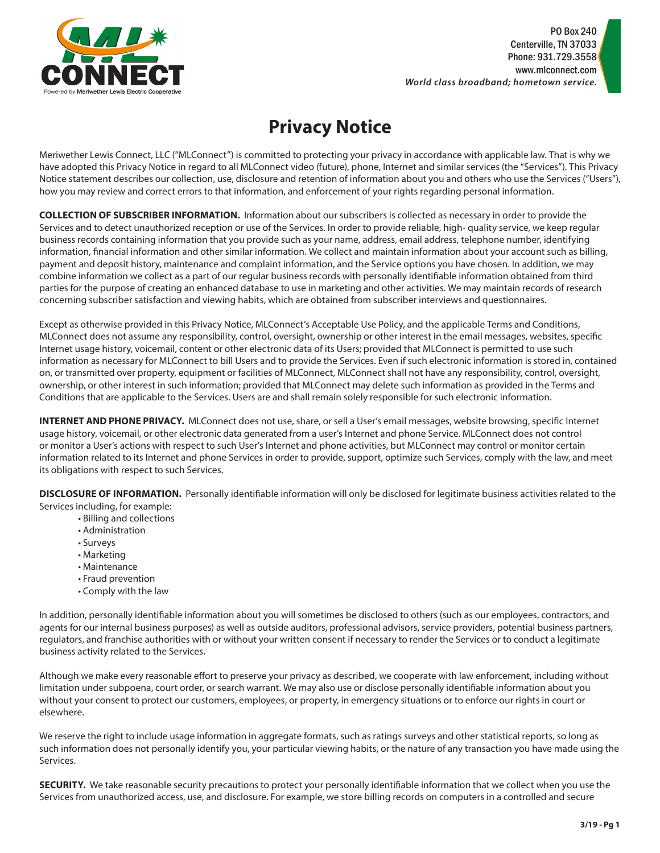

# **Privacy Notice**

Meriwether Lewis Connect, LLC ("MLConnect") is committed to protecting your privacy in accordance with applicable law. That is why we have adopted this Privacy Notice in regard to all MLConnect video (future), phone, Internet and similar services (the "Services"). This Privacy Notice statement describes our collection, use, disclosure and retention of information about you and others who use the Services ("Users"), how you may review and correct errors to that information, and enforcement of your rights regarding personal information.

**COLLECTION OF SUBSCRIBER INFORMATION.** Information about our subscribers is collected as necessary in order to provide the Services and to detect unauthorized reception or use of the Services. In order to provide reliable, high- quality service, we keep regular business records containing information that you provide such as your name, address, email address, telephone number, identifying information, financial information and other similar information. We collect and maintain information about your account such as billing, payment and deposit history, maintenance and complaint information, and the Service options you have chosen. In addition, we may combine information we collect as a part of our regular business records with personally identifiable information obtained from third parties for the purpose of creating an enhanced database to use in marketing and other activities. We may maintain records of research concerning subscriber satisfaction and viewing habits, which are obtained from subscriber interviews and questionnaires.

Except as otherwise provided in this Privacy Notice, MLConnect's Acceptable Use Policy, and the applicable Terms and Conditions, MLConnect does not assume any responsibility, control, oversight, ownership or other interest in the email messages, websites, specific Internet usage history, voicemail, content or other electronic data of its Users; provided that MLConnect is permitted to use such information as necessary for MLConnect to bill Users and to provide the Services. Even if such electronic information is stored in, contained on, or transmitted over property, equipment or facilities of MLConnect, MLConnect shall not have any responsibility, control, oversight, ownership, or other interest in such information; provided that MLConnect may delete such information as provided in the Terms and Conditions that are applicable to the Services. Users are and shall remain solely responsible for such electronic information.

**INTERNET AND PHONE PRIVACY.** MLConnect does not use, share, or sell a User's email messages, website browsing, specific Internet usage history, voicemail, or other electronic data generated from a user's Internet and phone Service. MLConnect does not control or monitor a User's actions with respect to such User's Internet and phone activities, but MLConnect may control or monitor certain information related to its Internet and phone Services in order to provide, support, optimize such Services, comply with the law, and meet its obligations with respect to such Services.

**DISCLOSURE OF INFORMATION.** Personally identifiable information will only be disclosed for legitimate business activities related to the Services including, for example:

- Billing and collections
- Administration
- Surveys
- Marketing
- Maintenance
- Fraud prevention
- Comply with the law

In addition, personally identifiable information about you will sometimes be disclosed to others (such as our employees, contractors, and agents for our internal business purposes) as well as outside auditors, professional advisors, service providers, potential business partners, regulators, and franchise authorities with or without your written consent if necessary to render the Services or to conduct a legitimate business activity related to the Services.

Although we make every reasonable effort to preserve your privacy as described, we cooperate with law enforcement, including without limitation under subpoena, court order, or search warrant. We may also use or disclose personally identifiable information about you without your consent to protect our customers, employees, or property, in emergency situations or to enforce our rights in court or elsewhere.

We reserve the right to include usage information in aggregate formats, such as ratings surveys and other statistical reports, so long as such information does not personally identify you, your particular viewing habits, or the nature of any transaction you have made using the Services.

**SECURITY.** We take reasonable security precautions to protect your personally identifiable information that we collect when you use the Services from unauthorized access, use, and disclosure. For example, we store billing records on computers in a controlled and secure